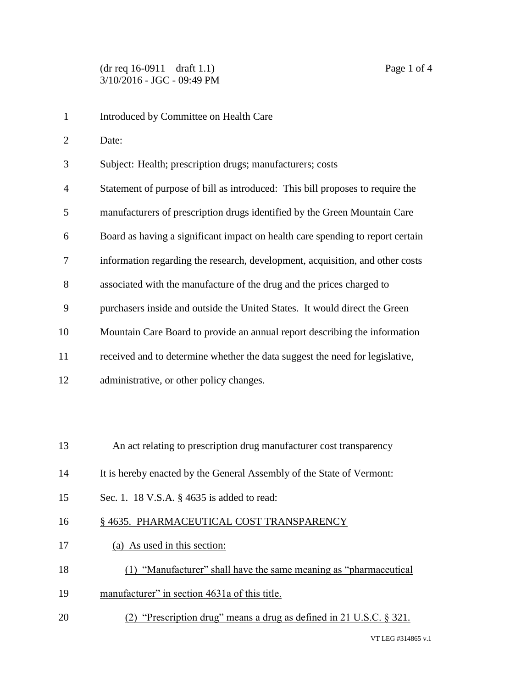Introduced by Committee on Health Care Date: Subject: Health; prescription drugs; manufacturers; costs Statement of purpose of bill as introduced: This bill proposes to require the manufacturers of prescription drugs identified by the Green Mountain Care Board as having a significant impact on health care spending to report certain information regarding the research, development, acquisition, and other costs associated with the manufacture of the drug and the prices charged to purchasers inside and outside the United States. It would direct the Green Mountain Care Board to provide an annual report describing the information received and to determine whether the data suggest the need for legislative, administrative, or other policy changes. An act relating to prescription drug manufacturer cost transparency It is hereby enacted by the General Assembly of the State of Vermont: Sec. 1. 18 V.S.A. § 4635 is added to read: 16 § 4635. PHARMACEUTICAL COST TRANSPARENCY (a) As used in this section: (1) "Manufacturer" shall have the same meaning as "pharmaceutical manufacturer" in section 4631a of this title. (2) "Prescription drug" means a drug as defined in 21 U.S.C. § 321.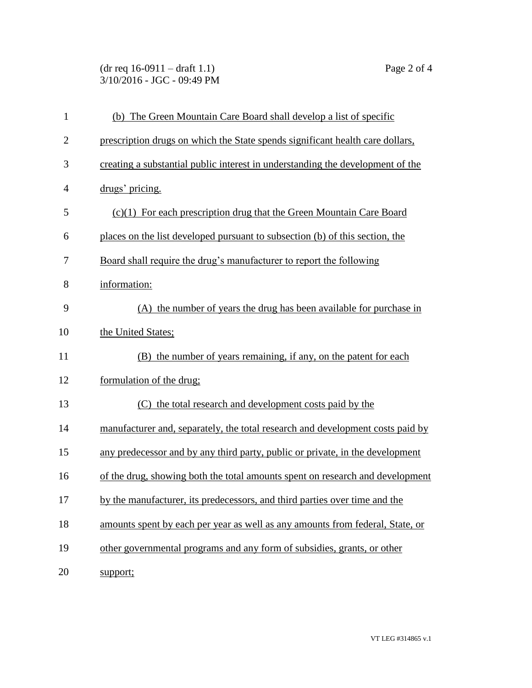(dr req 16-0911 – draft 1.1) Page 2 of 4 3/10/2016 - JGC - 09:49 PM

| $\mathbf{1}$   | (b) The Green Mountain Care Board shall develop a list of specific             |
|----------------|--------------------------------------------------------------------------------|
| $\overline{2}$ | prescription drugs on which the State spends significant health care dollars,  |
| 3              | creating a substantial public interest in understanding the development of the |
| $\overline{4}$ | drugs' pricing.                                                                |
| 5              | $(c)(1)$ For each prescription drug that the Green Mountain Care Board         |
| 6              | places on the list developed pursuant to subsection (b) of this section, the   |
| 7              | Board shall require the drug's manufacturer to report the following            |
| 8              | information:                                                                   |
| 9              | (A) the number of years the drug has been available for purchase in            |
| 10             | the United States;                                                             |
| 11             | (B) the number of years remaining, if any, on the patent for each              |
| 12             | formulation of the drug;                                                       |
| 13             | (C) the total research and development costs paid by the                       |
| 14             | manufacturer and, separately, the total research and development costs paid by |
| 15             | any predecessor and by any third party, public or private, in the development  |
| 16             | of the drug, showing both the total amounts spent on research and development  |
| 17             | by the manufacturer, its predecessors, and third parties over time and the     |
| 18             | amounts spent by each per year as well as any amounts from federal, State, or  |
| 19             | other governmental programs and any form of subsidies, grants, or other        |
| 20             | support;                                                                       |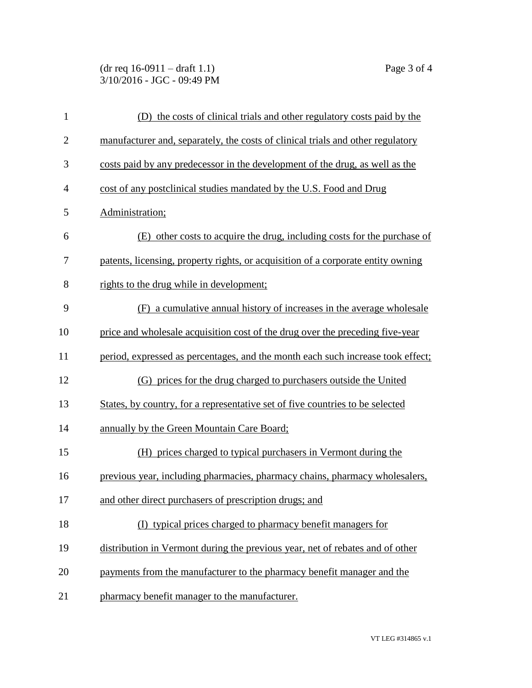(dr req 16-0911 – draft 1.1) Page 3 of 4 3/10/2016 - JGC - 09:49 PM

| $\mathbf{1}$   | (D) the costs of clinical trials and other regulatory costs paid by the          |
|----------------|----------------------------------------------------------------------------------|
| $\overline{2}$ | manufacturer and, separately, the costs of clinical trials and other regulatory  |
| 3              | costs paid by any predecessor in the development of the drug, as well as the     |
| $\overline{4}$ | cost of any postclinical studies mandated by the U.S. Food and Drug              |
| 5              | Administration;                                                                  |
| 6              | (E) other costs to acquire the drug, including costs for the purchase of         |
| 7              | patents, licensing, property rights, or acquisition of a corporate entity owning |
| 8              | rights to the drug while in development;                                         |
| 9              | (F) a cumulative annual history of increases in the average wholesale            |
| 10             | price and wholesale acquisition cost of the drug over the preceding five-year    |
| 11             | period, expressed as percentages, and the month each such increase took effect;  |
| 12             | (G) prices for the drug charged to purchasers outside the United                 |
| 13             | States, by country, for a representative set of five countries to be selected    |
| 14             | annually by the Green Mountain Care Board;                                       |
| 15             | (H) prices charged to typical purchasers in Vermont during the                   |
| 16             | previous year, including pharmacies, pharmacy chains, pharmacy wholesalers,      |
| 17             | and other direct purchasers of prescription drugs; and                           |
| 18             | (I) typical prices charged to pharmacy benefit managers for                      |
| 19             | distribution in Vermont during the previous year, net of rebates and of other    |
| 20             | payments from the manufacturer to the pharmacy benefit manager and the           |
| 21             | pharmacy benefit manager to the manufacturer.                                    |